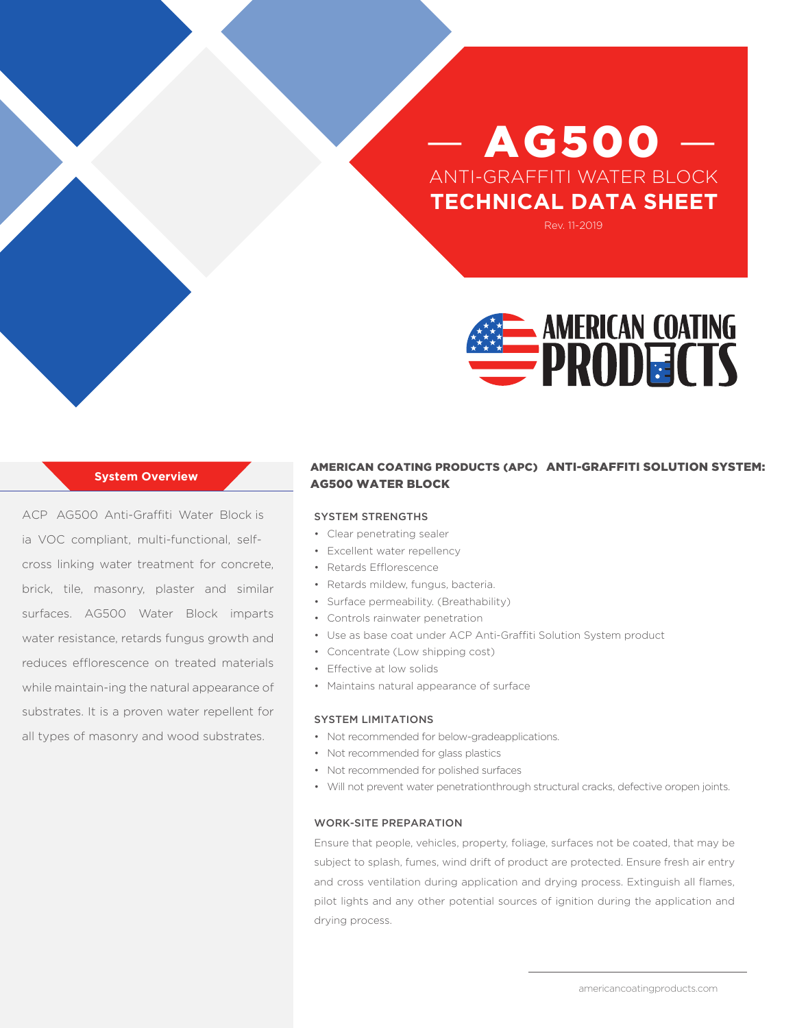# AG500 ANTI-GRAFFITI WATER BLOCK **TECHNICAL DATA SHEET**

Rev. 11-2019



#### **System Overview**

ACP AG500 Anti-Graffiti Water Block is ia VOC compliant, multi-functional, selfcross linking water treatment for concrete, brick, tile, masonry, plaster and similar surfaces. AG500 Water Block imparts water resistance, retards fungus growth and reduces efflorescence on treated materials while maintain-ing the natural appearance of substrates. It is a proven water repellent for all types of masonry and wood substrates.

# AMERICAN COATING PRODUCTS (APC) ANTI-GRAFFITI SOLUTION SYSTEM: AG500 WATER BLOCK

#### SYSTEM STRENGTHS

- Clear penetrating sealer
- Excellent water repellency
- Retards Efflorescence
- Retards mildew, fungus, bacteria.
- Surface permeability. (Breathability)
- Controls rainwater penetration
- Use as base coat under ACP Anti-Graffiti Solution System product
- Concentrate (Low shipping cost)
- Effective at low solids
- Maintains natural appearance of surface

#### SYSTEM LIMITATIONS

- Not recommended for below-gradeapplications.
- Not recommended for glass plastics
- Not recommended for polished surfaces
- Will not prevent water penetrationthrough structural cracks, defective oropen joints.

#### WORK-SITE PREPARATION

Ensure that people, vehicles, property, foliage, surfaces not be coated, that may be subject to splash, fumes, wind drift of product are protected. Ensure fresh air entry and cross ventilation during application and drying process. Extinguish all flames, pilot lights and any other potential sources of ignition during the application and drying process.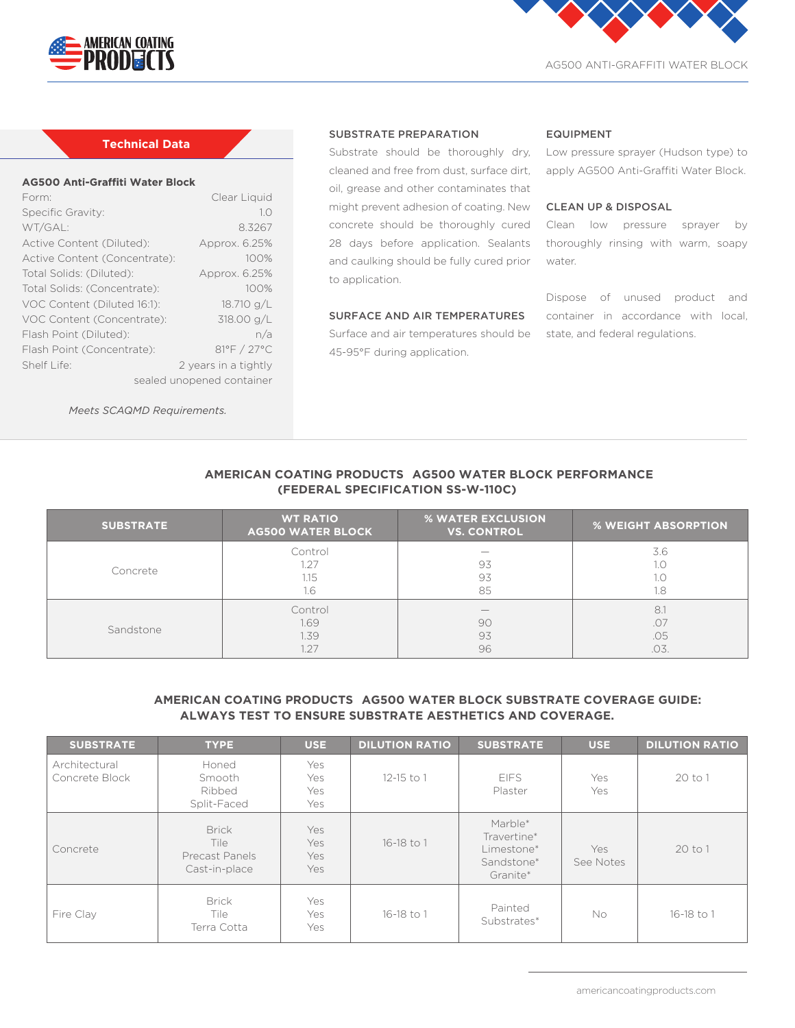



AG500 ANTI-GRAFFITI WATER BLOCK

# **Technical Data**

#### **AG500 Anti-Graffiti Water Block**

| Form:                         | Clear Liquid         |  |  |  |  |
|-------------------------------|----------------------|--|--|--|--|
| Specific Gravity:             | 1.0                  |  |  |  |  |
| WT/GAL:                       | 8.3267               |  |  |  |  |
| Active Content (Diluted):     | Approx. 6.25%        |  |  |  |  |
| Active Content (Concentrate): | 100%                 |  |  |  |  |
| Total Solids: (Diluted):      | Approx. 6.25%        |  |  |  |  |
| Total Solids: (Concentrate):  | 100%                 |  |  |  |  |
| VOC Content (Diluted 16:1):   | 18.710 g/L           |  |  |  |  |
| VOC Content (Concentrate):    | 318.00 g/L           |  |  |  |  |
| Flash Point (Diluted):        | n/a                  |  |  |  |  |
| Flash Point (Concentrate):    | 81°F / 27°C          |  |  |  |  |
| Shelf Life:                   | 2 years in a tightly |  |  |  |  |
| sealed unopened container     |                      |  |  |  |  |

*Meets SCAQMD Requirements.*

#### SUBSTRATE PREPARATION

cleaned and free from dust, surface dirt, oil, grease and other contaminates that might prevent adhesion of coating. New 28 days before application. Sealants and caulking should be fully cured prior to application.

# SURFACE AND AIR TEMPERATURES

**AMERICAN COATING PRODUCTS AG500 WATER BLOCK PERFORMANCE** 

Surface and air temperatures should be state, and federal regulations. 45-95°F during application.

#### EQUIPMENT

Substrate should be thoroughly dry, Low pressure sprayer (Hudson type) to apply AG500 Anti-Graffiti Water Block.

## CLEAN UP & DISPOSAL

concrete should be thoroughly cured Clean low pressure sprayer by thoroughly rinsing with warm, soapy water.

> Dispose of unused product and container in accordance with local,

| (FEDERAL SPECIFICATION SS-W-110C) |                                             |                                         |                            |  |  |  |  |
|-----------------------------------|---------------------------------------------|-----------------------------------------|----------------------------|--|--|--|--|
| <b>SUBSTRATE</b>                  | <b>WT RATIO</b><br><b>AG500 WATER BLOCK</b> | % WATER EXCLUSION<br><b>VS. CONTROL</b> | <b>% WEIGHT ABSORPTION</b> |  |  |  |  |
| Concrete                          | Control<br>1.27<br>1.15<br>1.6              | 93<br>93<br>85                          | 3.6<br>1.0<br>1.0<br>1.8   |  |  |  |  |
| Sandstone                         | Control<br>1.69<br>1.39<br>1.27             | 90<br>93<br>96                          | 8.1<br>.07<br>.05<br>.03.  |  |  |  |  |

# **AMERICAN COATING PRODUCTS AG500 WATER BLOCK SUBSTRATE COVERAGE GUIDE: ALWAYS TEST TO ENSURE SUBSTRATE AESTHETICS AND COVERAGE.**

| <b>SUBSTRATE</b>                | <b>TYPE</b>                                                    | <b>USE</b>               | <b>DILUTION RATIO</b> | <b>SUBSTRATE</b>                                               | <b>USE</b>       | <b>DILUTION RATIO</b> |
|---------------------------------|----------------------------------------------------------------|--------------------------|-----------------------|----------------------------------------------------------------|------------------|-----------------------|
| Architectural<br>Concrete Block | Honed<br>Smooth<br>Ribbed<br>Split-Faced                       | Yes<br>Yes<br>Yes<br>Yes | $12 - 15$ to 1        | <b>EIFS</b><br>Plaster                                         | Yes<br>Yes       | 20 to 1               |
| Concrete                        | <b>Brick</b><br>Tile<br><b>Precast Panels</b><br>Cast-in-place | Yes<br>Yes<br>Yes<br>Yes | 16-18 to 1            | Marble*<br>Travertine*<br>Limestone*<br>Sandstone*<br>Granite* | Yes<br>See Notes | 20 to 1               |
| Fire Clay                       | <b>Brick</b><br>Tile<br>Terra Cotta                            | Yes<br>Yes<br>Yes        | 16-18 to 1            | Painted<br>Substrates*                                         | No.              | 16-18 to 1            |